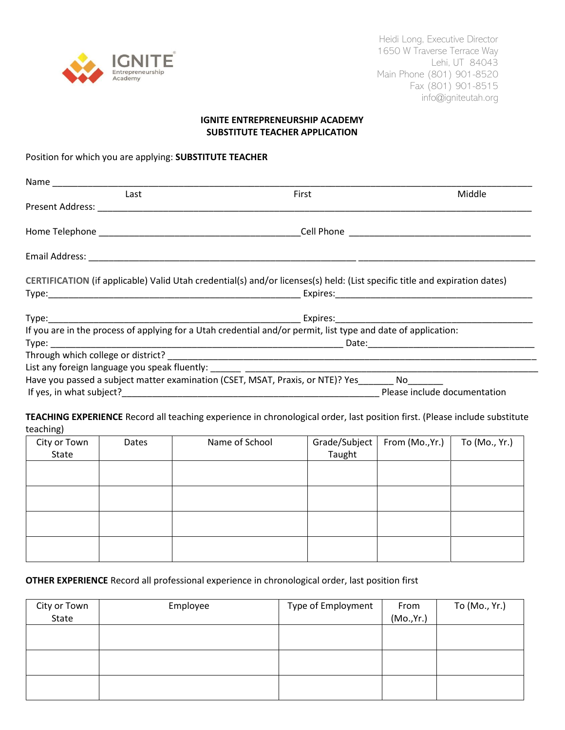

Heidi Long, Executive Director 1650 W Traverse Terrace Way Lehi, UT 84043 Main Phone (801) 901-8520 Fax (801) 901-8515 info@igniteutah.org

### **IGNITE ENTREPRENEURSHIP ACADEMY SUBSTITUTE TEACHER APPLICATION**

Position for which you are applying: **SUBSTITUTE TEACHER**

| Last                                       | First                                                                                                                      | Middle |
|--------------------------------------------|----------------------------------------------------------------------------------------------------------------------------|--------|
| Present Address: National Present Address: |                                                                                                                            |        |
|                                            |                                                                                                                            |        |
|                                            |                                                                                                                            |        |
|                                            |                                                                                                                            |        |
|                                            | CERTIFICATION (if applicable) Valid Utah credential(s) and/or licenses(s) held: (List specific title and expiration dates) |        |
|                                            |                                                                                                                            |        |
|                                            |                                                                                                                            |        |
|                                            | Expires:_________________________________                                                                                  |        |
|                                            | If you are in the process of applying for a Utah credential and/or permit, list type and date of application:              |        |
|                                            |                                                                                                                            |        |
|                                            |                                                                                                                            |        |
|                                            |                                                                                                                            |        |
|                                            | Have you passed a subject matter examination (CSET, MSAT, Praxis, or NTE)? Yes No                                          |        |

**TEACHING EXPERIENCE** Record all teaching experience in chronological order, last position first. (Please include substitute teaching)

| City or Town | Dates | Name of School | Grade/Subject | From (Mo.,Yr.) | To (Mo., Yr.) |
|--------------|-------|----------------|---------------|----------------|---------------|
| State        |       |                | Taught        |                |               |
|              |       |                |               |                |               |
|              |       |                |               |                |               |
|              |       |                |               |                |               |
|              |       |                |               |                |               |
|              |       |                |               |                |               |
|              |       |                |               |                |               |
|              |       |                |               |                |               |
|              |       |                |               |                |               |

# **OTHER EXPERIENCE** Record all professional experience in chronological order, last position first

| City or Town<br>State | Employee | Type of Employment | From<br>(Mo., Yr.) | To (Mo., Yr.) |
|-----------------------|----------|--------------------|--------------------|---------------|
|                       |          |                    |                    |               |
|                       |          |                    |                    |               |
|                       |          |                    |                    |               |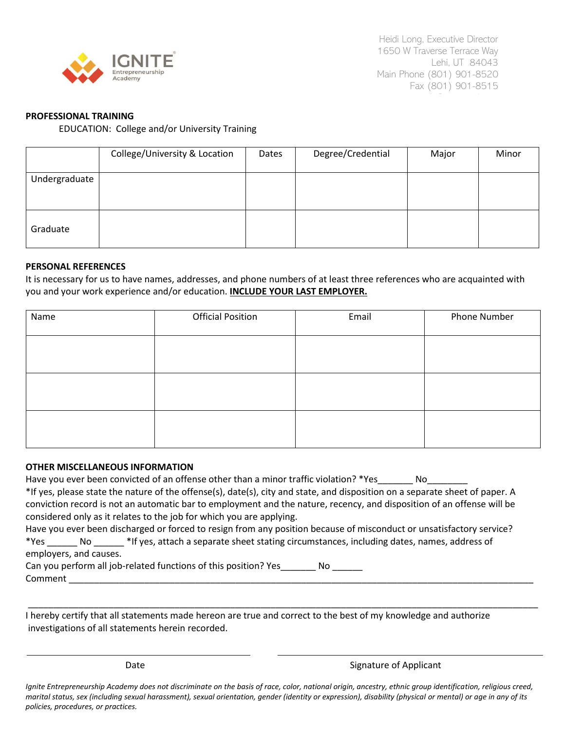

# **PROFESSIONAL TRAINING**

EDUCATION: College and/or University Training

|               | College/University & Location | Dates | Degree/Credential | Major | Minor |
|---------------|-------------------------------|-------|-------------------|-------|-------|
| Undergraduate |                               |       |                   |       |       |
| Graduate      |                               |       |                   |       |       |

#### **PERSONAL REFERENCES**

It is necessary for us to have names, addresses, and phone numbers of at least three references who are acquainted with you and your work experience and/or education. **INCLUDE YOUR LAST EMPLOYER.**

| Name | <b>Official Position</b><br>Email |  | <b>Phone Number</b> |  |
|------|-----------------------------------|--|---------------------|--|
|      |                                   |  |                     |  |
|      |                                   |  |                     |  |
|      |                                   |  |                     |  |
|      |                                   |  |                     |  |
|      |                                   |  |                     |  |
|      |                                   |  |                     |  |

#### **OTHER MISCELLANEOUS INFORMATION**

| Have you ever been convicted of an offense other than a minor traffic violation? *Yes<br>No control of the North State of the North State of the North State of the North State of the North State of the North State of the North State of the North State of the North State of the North State of the North State of |
|-------------------------------------------------------------------------------------------------------------------------------------------------------------------------------------------------------------------------------------------------------------------------------------------------------------------------|
| *If yes, please state the nature of the offense(s), date(s), city and state, and disposition on a separate sheet of paper. A                                                                                                                                                                                            |
| conviction record is not an automatic bar to employment and the nature, recency, and disposition of an offense will be                                                                                                                                                                                                  |
| considered only as it relates to the job for which you are applying.                                                                                                                                                                                                                                                    |
| Have you ever been discharged or forced to resign from any position because of misconduct or unsatisfactory service?                                                                                                                                                                                                    |
| *Yes No *If yes, attach a separate sheet stating circumstances, including dates, names, address of                                                                                                                                                                                                                      |
| employers, and causes.                                                                                                                                                                                                                                                                                                  |
| Can you perform all job-related functions of this position? Yes<br>No l                                                                                                                                                                                                                                                 |
| Comment                                                                                                                                                                                                                                                                                                                 |

I hereby certify that all statements made hereon are true and correct to the best of my knowledge and authorize investigations of all statements herein recorded.

Date **Signature of Applicant** 

*Ignite Entrepreneurship Academy does not discriminate on the basis of race, color, national origin, ancestry, ethnic group identification, religious creed, marital status, sex (including sexual harassment), sexual orientation, gender (identity or expression), disability (physical or mental) or age in any of its policies, procedures, or practices.* 

\_\_\_\_\_\_\_\_\_\_\_\_\_\_\_\_\_\_\_\_\_\_\_\_\_\_\_\_\_\_\_\_\_\_\_\_\_\_\_\_\_\_\_\_\_\_\_\_\_\_\_\_\_\_\_\_\_\_\_\_\_\_\_\_\_\_\_\_\_\_\_\_\_\_\_\_\_\_\_\_\_\_\_\_\_\_\_\_\_\_\_\_\_\_\_\_\_\_\_\_\_